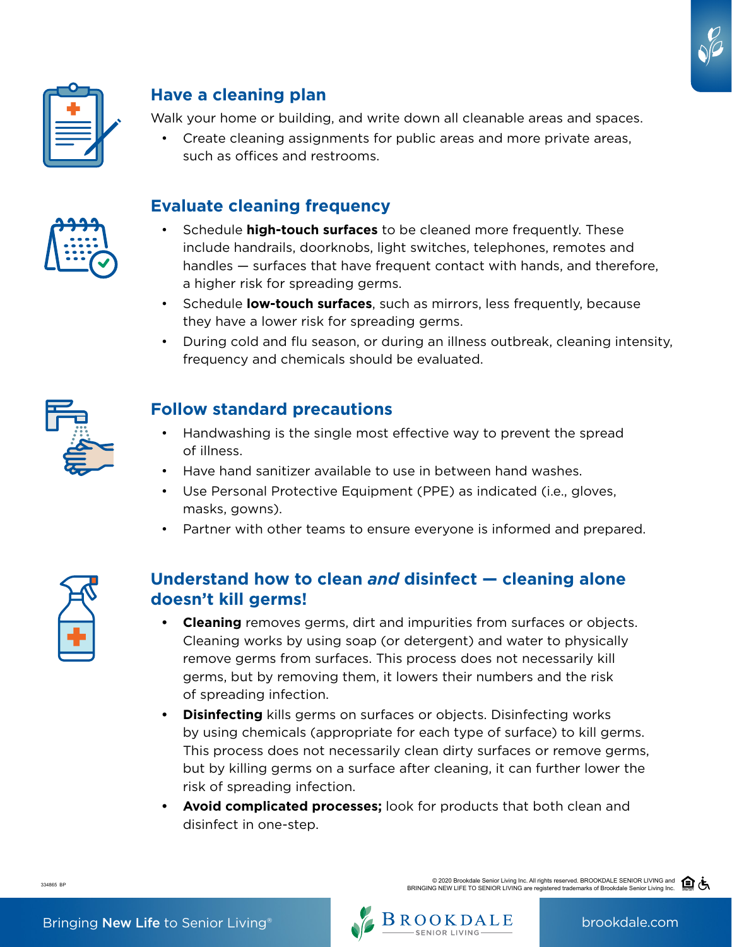



# **Have a cleaning plan**

Walk your home or building, and write down all cleanable areas and spaces.

• Create cleaning assignments for public areas and more private areas, such as offices and restrooms.

## **Evaluate cleaning frequency**

- Schedule **high-touch surfaces** to be cleaned more frequently. These include handrails, doorknobs, light switches, telephones, remotes and handles — surfaces that have frequent contact with hands, and therefore, a higher risk for spreading germs.
- Schedule **low-touch surfaces**, such as mirrors, less frequently, because they have a lower risk for spreading germs.
- During cold and flu season, or during an illness outbreak, cleaning intensity, frequency and chemicals should be evaluated.



## **Follow standard precautions**

- Handwashing is the single most effective way to prevent the spread of illness.
- Have hand sanitizer available to use in between hand washes.
- Use Personal Protective Equipment (PPE) as indicated (i.e., gloves, masks, gowns).
- Partner with other teams to ensure everyone is informed and prepared.



## **Understand how to clean** *and* **disinfect — cleaning alone doesn't kill germs!**

- **• Cleaning** removes germs, dirt and impurities from surfaces or objects. Cleaning works by using soap (or detergent) and water to physically remove germs from surfaces. This process does not necessarily kill germs, but by removing them, it lowers their numbers and the risk of spreading infection.
- **• Disinfecting** kills germs on surfaces or objects. Disinfecting works by using chemicals (appropriate for each type of surface) to kill germs. This process does not necessarily clean dirty surfaces or remove germs, but by killing germs on a surface after cleaning, it can further lower the risk of spreading infection.
- **• Avoid complicated processes;** look for products that both clean and disinfect in one-step.

334865 BP

© 2020 Brookdale Senior Living Inc. All rights reserved. BROOKDALE SENIOR LIVING and

BRINGING NEW LIFE TO SENIOR LIVING are registered trademarks of Brookdale Senior Living Inc.